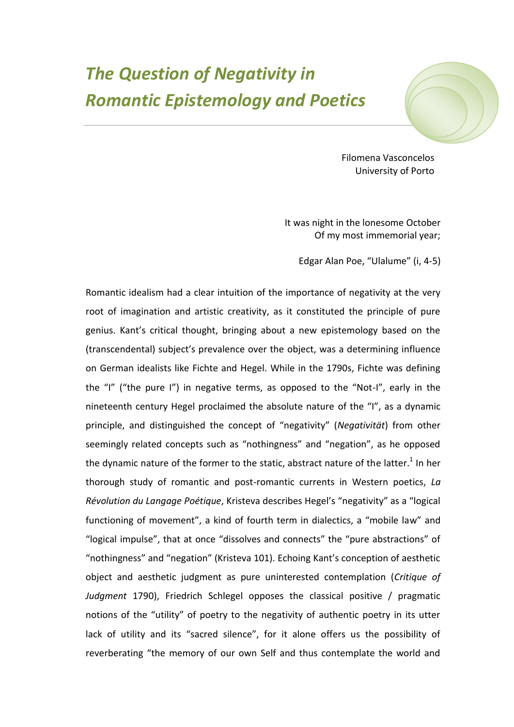## *The Question of Negativity in Romantic Epistemology and Poetics*



Filomena Vasconcelos University of Porto

It was night in the lonesome October Of my most immemorial year;

Edgar Alan Poe, "Ulalume" (i, 4-5)

Romantic idealism had a clear intuition of the importance of negativity at the very root of imagination and artistic creativity, as it constituted the principle of pure genius. Kant's critical thought, bringing about a new epistemology based on the (transcendental) subject's prevalence over the object, was a determining influence on German idealists like Fichte and Hegel. While in the 1790s, Fichte was defining the "I" ("the pure I") in negative terms, as opposed to the "Not-I", early in the nineteenth century Hegel proclaimed the absolute nature of the "I", as a dynamic principle, and distinguished the concept of "negativity" (*Negativität*) from other seemingly related concepts such as "nothingness" and "negation", as he opposed the dynamic nature of the former to the static, abstract nature of the latter.<sup>1</sup> In her thorough study of romantic and post-romantic currents in Western poetics, *La Révolution du Langage Poétique*, Kristeva describes Hegel's "negativity" as a "logical functioning of movement", a kind of fourth term in dialectics, a "mobile law" and "logical impulse", that at once "dissolves and connects" the "pure abstractions" of "nothingness" and "negation" (Kristeva 101). Echoing Kant's conception of aesthetic object and aesthetic judgment as pure uninterested contemplation (*Critique of Judgment* 1790), Friedrich Schlegel opposes the classical positive / pragmatic notions of the "utility" of poetry to the negativity of authentic poetry in its utter lack of utility and its "sacred silence", for it alone offers us the possibility of reverberating "the memory of our own Self and thus contemplate the world and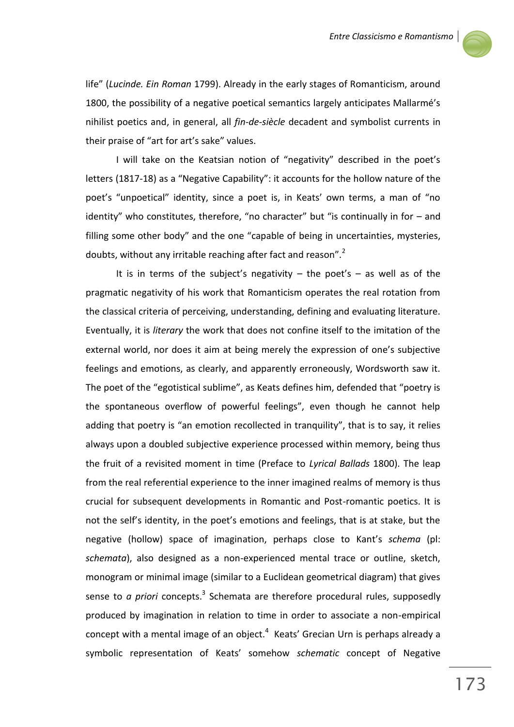

life" (*Lucinde. Ein Roman* 1799). Already in the early stages of Romanticism, around 1800, the possibility of a negative poetical semantics largely anticipates Mallarmé's nihilist poetics and, in general, all *fin-de-siècle* decadent and symbolist currents in their praise of "art for art's sake" values.

I will take on the Keatsian notion of "negativity" described in the poet's letters (1817-18) as a "Negative Capability": it accounts for the hollow nature of the poet's "unpoetical" identity, since a poet is, in Keats' own terms, a man of "no identity" who constitutes, therefore, "no character" but "is continually in for – and filling some other body" and the one "capable of being in uncertainties, mysteries, doubts, without any irritable reaching after fact and reason".<sup>2</sup>

It is in terms of the subject's negativity  $-$  the poet's  $-$  as well as of the pragmatic negativity of his work that Romanticism operates the real rotation from the classical criteria of perceiving, understanding, defining and evaluating literature. Eventually, it is *literary* the work that does not confine itself to the imitation of the external world, nor does it aim at being merely the expression of one's subjective feelings and emotions, as clearly, and apparently erroneously, Wordsworth saw it. The poet of the "egotistical sublime", as Keats defines him, defended that "poetry is the spontaneous overflow of powerful feelings", even though he cannot help adding that poetry is "an emotion recollected in tranquility", that is to say, it relies always upon a doubled subjective experience processed within memory, being thus the fruit of a revisited moment in time (Preface to *Lyrical Ballads* 1800). The leap from the real referential experience to the inner imagined realms of memory is thus crucial for subsequent developments in Romantic and Post-romantic poetics. It is not the self's identity, in the poet's emotions and feelings, that is at stake, but the negative (hollow) space of imagination, perhaps close to Kant's *schema* (pl: *schemata*), also designed as a non-experienced mental trace or outline, sketch, monogram or minimal image (similar to a Euclidean geometrical diagram) that gives sense to *a priori* concepts.<sup>3</sup> Schemata are therefore procedural rules, supposedly produced by imagination in relation to time in order to associate a non-empirical concept with a mental image of an object. $4\,$  Keats' Grecian Urn is perhaps already a symbolic representation of Keats' somehow *schematic* concept of Negative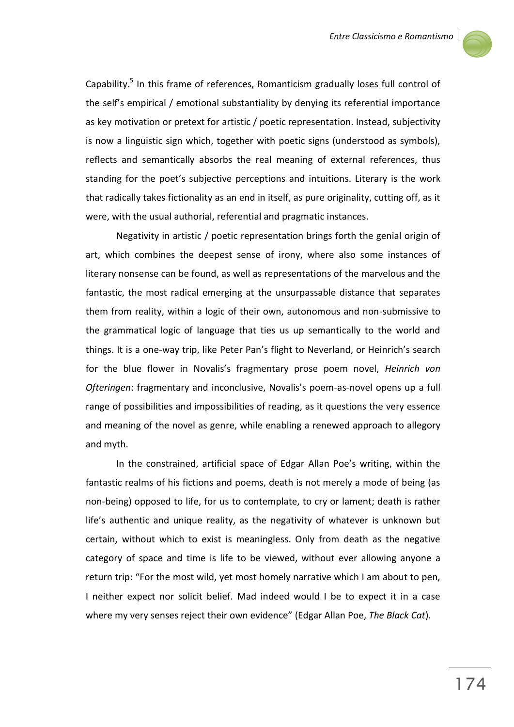

Capability.<sup>5</sup> In this frame of references, Romanticism gradually loses full control of the self's empirical / emotional substantiality by denying its referential importance as key motivation or pretext for artistic / poetic representation. Instead, subjectivity is now a linguistic sign which, together with poetic signs (understood as symbols), reflects and semantically absorbs the real meaning of external references, thus standing for the poet's subjective perceptions and intuitions. Literary is the work that radically takes fictionality as an end in itself, as pure originality, cutting off, as it were, with the usual authorial, referential and pragmatic instances.

Negativity in artistic / poetic representation brings forth the genial origin of art, which combines the deepest sense of irony, where also some instances of literary nonsense can be found, as well as representations of the marvelous and the fantastic, the most radical emerging at the unsurpassable distance that separates them from reality, within a logic of their own, autonomous and non-submissive to the grammatical logic of language that ties us up semantically to the world and things. It is a one-way trip, like Peter Pan's flight to Neverland, or Heinrich's search for the blue flower in Novalis's fragmentary prose poem novel, *Heinrich von Ofteringen*: fragmentary and inconclusive, Novalis's poem-as-novel opens up a full range of possibilities and impossibilities of reading, as it questions the very essence and meaning of the novel as genre, while enabling a renewed approach to allegory and myth.

In the constrained, artificial space of Edgar Allan Poe's writing, within the fantastic realms of his fictions and poems, death is not merely a mode of being (as non-being) opposed to life, for us to contemplate, to cry or lament; death is rather life's authentic and unique reality, as the negativity of whatever is unknown but certain, without which to exist is meaningless. Only from death as the negative category of space and time is life to be viewed, without ever allowing anyone a return trip: "For the most wild, yet most homely narrative which I am about to pen, I neither expect nor solicit belief. Mad indeed would I be to expect it in a case where my very senses reject their own evidence" (Edgar Allan Poe, *The Black Cat*).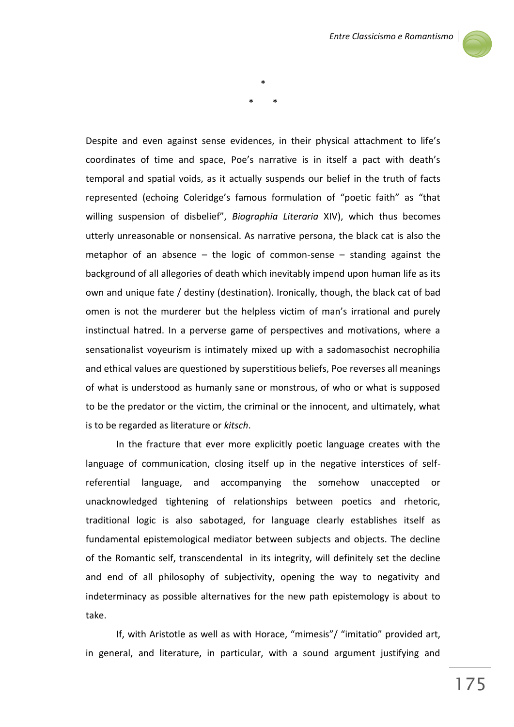

Despite and even against sense evidences, in their physical attachment to life's coordinates of time and space, Poe's narrative is in itself a pact with death's temporal and spatial voids, as it actually suspends our belief in the truth of facts represented (echoing Coleridge's famous formulation of "poetic faith" as "that willing suspension of disbelief", *Biographia Literaria* XIV), which thus becomes utterly unreasonable or nonsensical. As narrative persona, the black cat is also the metaphor of an absence – the logic of common-sense – standing against the background of all allegories of death which inevitably impend upon human life as its own and unique fate / destiny (destination). Ironically, though, the black cat of bad omen is not the murderer but the helpless victim of man's irrational and purely instinctual hatred. In a perverse game of perspectives and motivations, where a sensationalist voyeurism is intimately mixed up with a sadomasochist necrophilia and ethical values are questioned by superstitious beliefs, Poe reverses all meanings of what is understood as humanly sane or monstrous, of who or what is supposed to be the predator or the victim, the criminal or the innocent, and ultimately, what is to be regarded as literature or *kitsch*.

\*

\* \*

In the fracture that ever more explicitly poetic language creates with the language of communication, closing itself up in the negative interstices of selfreferential language, and accompanying the somehow unaccepted or unacknowledged tightening of relationships between poetics and rhetoric, traditional logic is also sabotaged, for language clearly establishes itself as fundamental epistemological mediator between subjects and objects. The decline of the Romantic self, transcendental in its integrity, will definitely set the decline and end of all philosophy of subjectivity, opening the way to negativity and indeterminacy as possible alternatives for the new path epistemology is about to take.

If, with Aristotle as well as with Horace, "mimesis"/ "imitatio" provided art, in general, and literature, in particular, with a sound argument justifying and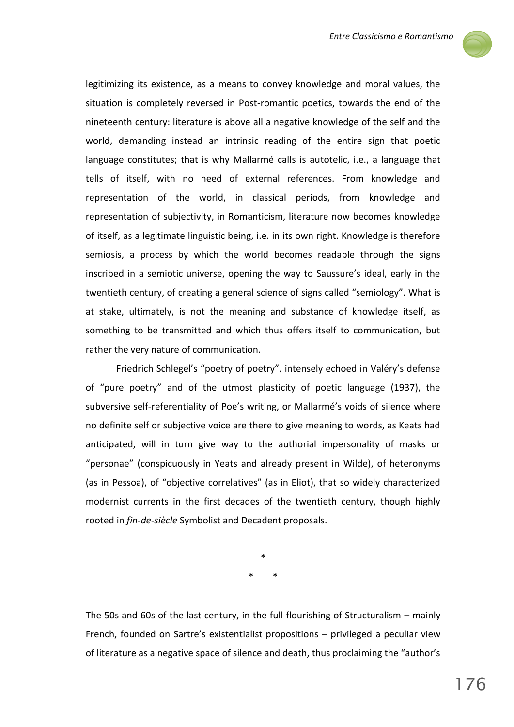

legitimizing its existence, as a means to convey knowledge and moral values, the situation is completely reversed in Post-romantic poetics, towards the end of the nineteenth century: literature is above all a negative knowledge of the self and the world, demanding instead an intrinsic reading of the entire sign that poetic language constitutes; that is why Mallarmé calls is autotelic, i.e., a language that tells of itself, with no need of external references. From knowledge and representation of the world, in classical periods, from knowledge and representation of subjectivity, in Romanticism, literature now becomes knowledge of itself, as a legitimate linguistic being, i.e. in its own right. Knowledge is therefore semiosis, a process by which the world becomes readable through the signs inscribed in a semiotic universe, opening the way to Saussure's ideal, early in the twentieth century, of creating a general science of signs called "semiology". What is at stake, ultimately, is not the meaning and substance of knowledge itself, as something to be transmitted and which thus offers itself to communication, but rather the very nature of communication.

Friedrich Schlegel's "poetry of poetry", intensely echoed in Valéry's defense of "pure poetry" and of the utmost plasticity of poetic language (1937), the subversive self-referentiality of Poe's writing, or Mallarmé's voids of silence where no definite self or subjective voice are there to give meaning to words, as Keats had anticipated, will in turn give way to the authorial impersonality of masks or "personae" (conspicuously in Yeats and already present in Wilde), of heteronyms (as in Pessoa), of "objective correlatives" (as in Eliot), that so widely characterized modernist currents in the first decades of the twentieth century, though highly rooted in *fin-de-siècle* Symbolist and Decadent proposals.

> \* \* \*

The 50s and 60s of the last century, in the full flourishing of Structuralism – mainly French, founded on Sartre's existentialist propositions – privileged a peculiar view of literature as a negative space of silence and death, thus proclaiming the "author's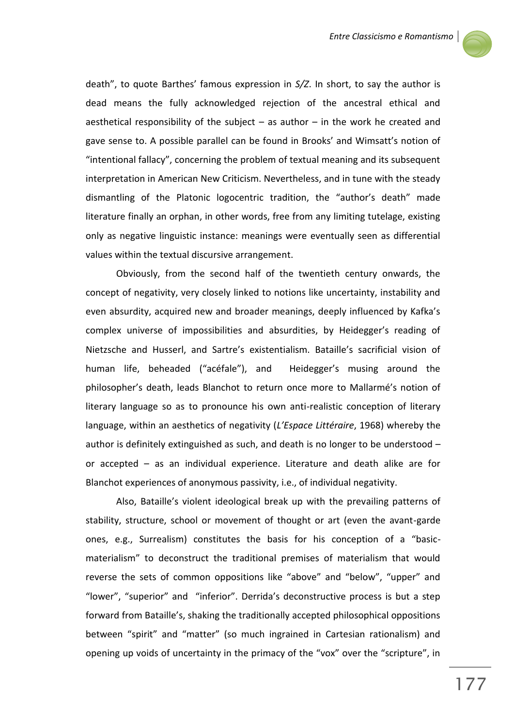

death", to quote Barthes' famous expression in *S/Z*. In short, to say the author is dead means the fully acknowledged rejection of the ancestral ethical and aesthetical responsibility of the subject  $-$  as author  $-$  in the work he created and gave sense to. A possible parallel can be found in Brooks' and Wimsatt's notion of "intentional fallacy", concerning the problem of textual meaning and its subsequent interpretation in American New Criticism. Nevertheless, and in tune with the steady dismantling of the Platonic logocentric tradition, the "author's death" made literature finally an orphan, in other words, free from any limiting tutelage, existing only as negative linguistic instance: meanings were eventually seen as differential values within the textual discursive arrangement.

Obviously, from the second half of the twentieth century onwards, the concept of negativity, very closely linked to notions like uncertainty, instability and even absurdity, acquired new and broader meanings, deeply influenced by Kafka's complex universe of impossibilities and absurdities, by Heidegger's reading of Nietzsche and Husserl, and Sartre's existentialism. Bataille's sacrificial vision of human life, beheaded ("acéfale"), and Heidegger's musing around the philosopher's death, leads Blanchot to return once more to Mallarmé's notion of literary language so as to pronounce his own anti-realistic conception of literary language, within an aesthetics of negativity (*L'Espace Littéraire*, 1968) whereby the author is definitely extinguished as such, and death is no longer to be understood – or accepted – as an individual experience. Literature and death alike are for Blanchot experiences of anonymous passivity, i.e., of individual negativity.

Also, Bataille's violent ideological break up with the prevailing patterns of stability, structure, school or movement of thought or art (even the avant-garde ones, e.g., Surrealism) constitutes the basis for his conception of a "basicmaterialism" to deconstruct the traditional premises of materialism that would reverse the sets of common oppositions like "above" and "below", "upper" and "lower", "superior" and "inferior". Derrida's deconstructive process is but a step forward from Bataille's, shaking the traditionally accepted philosophical oppositions between "spirit" and "matter" (so much ingrained in Cartesian rationalism) and opening up voids of uncertainty in the primacy of the "vox" over the "scripture", in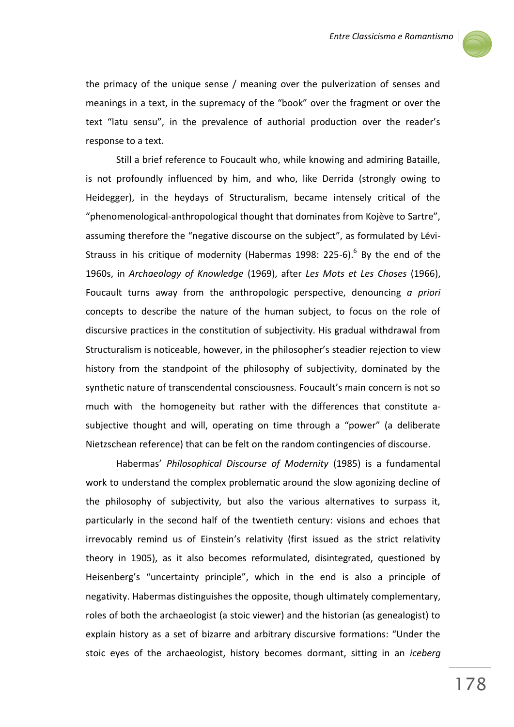

the primacy of the unique sense / meaning over the pulverization of senses and meanings in a text, in the supremacy of the "book" over the fragment or over the text "latu sensu", in the prevalence of authorial production over the reader's response to a text.

Still a brief reference to Foucault who, while knowing and admiring Bataille, is not profoundly influenced by him, and who, like Derrida (strongly owing to Heidegger), in the heydays of Structuralism, became intensely critical of the "phenomenological-anthropological thought that dominates from Kojève to Sartre", assuming therefore the "negative discourse on the subject", as formulated by Lévi-Strauss in his critique of modernity (Habermas 1998: 225-6).<sup>6</sup> By the end of the 1960s, in *Archaeology of Knowledge* (1969), after *Les Mots et Les Choses* (1966), Foucault turns away from the anthropologic perspective, denouncing *a priori* concepts to describe the nature of the human subject, to focus on the role of discursive practices in the constitution of subjectivity. His gradual withdrawal from Structuralism is noticeable, however, in the philosopher's steadier rejection to view history from the standpoint of the philosophy of subjectivity, dominated by the synthetic nature of transcendental consciousness. Foucault's main concern is not so much with the homogeneity but rather with the differences that constitute asubjective thought and will, operating on time through a "power" (a deliberate Nietzschean reference) that can be felt on the random contingencies of discourse.

Habermas' *Philosophical Discourse of Modernity* (1985) is a fundamental work to understand the complex problematic around the slow agonizing decline of the philosophy of subjectivity, but also the various alternatives to surpass it, particularly in the second half of the twentieth century: visions and echoes that irrevocably remind us of Einstein's relativity (first issued as the strict relativity theory in 1905), as it also becomes reformulated, disintegrated, questioned by Heisenberg's "uncertainty principle", which in the end is also a principle of negativity. Habermas distinguishes the opposite, though ultimately complementary, roles of both the archaeologist (a stoic viewer) and the historian (as genealogist) to explain history as a set of bizarre and arbitrary discursive formations: "Under the stoic eyes of the archaeologist, history becomes dormant, sitting in an *iceberg*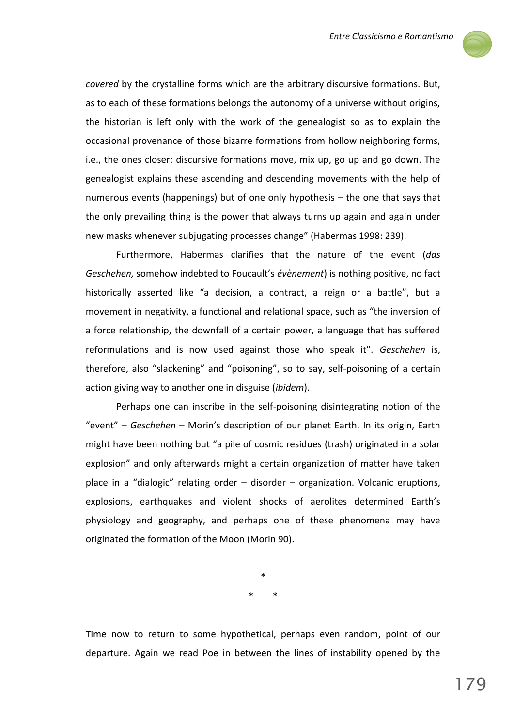

*covered* by the crystalline forms which are the arbitrary discursive formations. But, as to each of these formations belongs the autonomy of a universe without origins, the historian is left only with the work of the genealogist so as to explain the occasional provenance of those bizarre formations from hollow neighboring forms, i.e., the ones closer: discursive formations move, mix up, go up and go down. The genealogist explains these ascending and descending movements with the help of numerous events (happenings) but of one only hypothesis – the one that says that the only prevailing thing is the power that always turns up again and again under new masks whenever subjugating processes change" (Habermas 1998: 239).

Furthermore, Habermas clarifies that the nature of the event (*das Geschehen,* somehow indebted to Foucault's *évènement*) is nothing positive, no fact historically asserted like "a decision, a contract, a reign or a battle", but a movement in negativity, a functional and relational space, such as "the inversion of a force relationship, the downfall of a certain power, a language that has suffered reformulations and is now used against those who speak it". *Geschehen* is, therefore, also "slackening" and "poisoning", so to say, self-poisoning of a certain action giving way to another one in disguise (*ibidem*).

Perhaps one can inscribe in the self-poisoning disintegrating notion of the "event" – *Geschehen* – Morin's description of our planet Earth. In its origin, Earth might have been nothing but "a pile of cosmic residues (trash) originated in a solar explosion" and only afterwards might a certain organization of matter have taken place in a "dialogic" relating order – disorder – organization. Volcanic eruptions, explosions, earthquakes and violent shocks of aerolites determined Earth's physiology and geography, and perhaps one of these phenomena may have originated the formation of the Moon (Morin 90).

> \* \* \*

Time now to return to some hypothetical, perhaps even random, point of our departure. Again we read Poe in between the lines of instability opened by the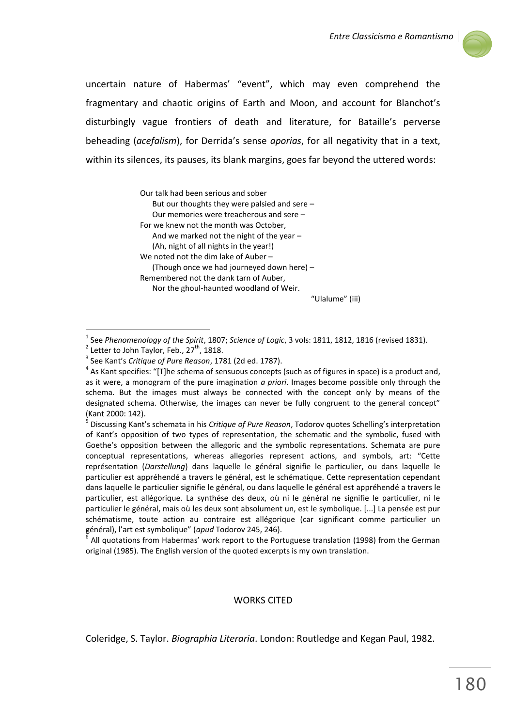

uncertain nature of Habermas' "event", which may even comprehend the fragmentary and chaotic origins of Earth and Moon, and account for Blanchot's disturbingly vague frontiers of death and literature, for Bataille's perverse beheading (*acefalism*), for Derrida's sense *aporias*, for all negativity that in a text, within its silences, its pauses, its blank margins, goes far beyond the uttered words:

> Our talk had been serious and sober But our thoughts they were palsied and sere – Our memories were treacherous and sere – For we knew not the month was October, And we marked not the night of the year – (Ah, night of all nights in the year!) We noted not the dim lake of Auber – (Though once we had journeyed down here) – Remembered not the dank tarn of Auber, Nor the ghoul-haunted woodland of Weir.

"Ulalume" (iii)

 $\overline{a}$ 

5 Discussing Kant's schemata in his *Critique of Pure Reason*, Todorov quotes Schelling's interpretation of Kant's opposition of two types of representation, the schematic and the symbolic, fused with Goethe's opposition between the allegoric and the symbolic representations. Schemata are pure conceptual representations, whereas allegories represent actions, and symbols, art: "Cette représentation (*Darstellung*) dans laquelle le général signifie le particulier, ou dans laquelle le particulier est appréhendé a travers le général, est le schématique. Cette representation cependant dans laquelle le particulier signifie le général, ou dans laquelle le général est appréhendé a travers le particulier, est allégorique. La synthése des deux, où ni le général ne signifie le particulier, ni le particulier le général, mais où les deux sont absolument un, est le symbolique. [...] La pensée est pur schématisme, toute action au contraire est allégorique (car significant comme particulier un général), l'art est symbolique" (*apud* Todorov 245, 246).

## WORKS CITED

Coleridge, S. Taylor. *Biographia Literaria*. London: Routledge and Kegan Paul, 1982.

<sup>1</sup> See *Phenomenology of the Spirit*, 1807; *Science of Logic*, 3 vols: 1811, 1812, 1816 (revised 1831).  $2$  Letter to John Taylor, Feb., 27<sup>th</sup>, 1818.

<sup>3</sup> See Kant's *Critique of Pure Reason*, 1781 (2d ed. 1787).

 $<sup>4</sup>$  As Kant specifies: "[T]he schema of sensuous concepts (such as of figures in space) is a product and,</sup> as it were, a monogram of the pure imagination *a priori*. Images become possible only through the schema. But the images must always be connected with the concept only by means of the designated schema. Otherwise, the images can never be fully congruent to the general concept" (Kant 2000: 142).

<sup>6</sup> All quotations from Habermas' work report to the Portuguese translation (1998) from the German original (1985). The English version of the quoted excerpts is my own translation.